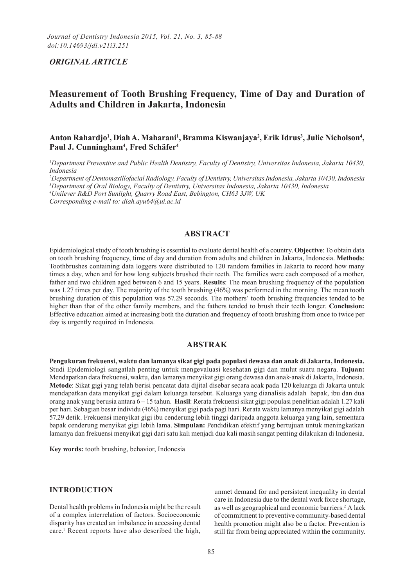# *ORIGINAL(ARTICLE(*

# **Measurement of Tooth Brushing Frequency, Time of Day and Duration of Adults\*and\*Children\*in\*Jakarta,\*Indonesia**

# Anton Rahardjo<sup>1</sup>, Diah A. Maharani<sup>1</sup>, Bramma Kiswanjaya<sup>2</sup>, Erik Idrus<sup>3</sup>, Julie Nicholson<sup>4</sup>, Paul J. Cunningham<sup>4</sup>, Fred Schäfer<sup>4</sup>

<sup>1</sup>Department Preventive and Public Health Dentistry, Faculty of Dentistry, Universitas Indonesia, Jakarta 10430, *Indonesia* 

<sup>2</sup>Department of Dentomaxillofacial Radiology, Faculty of Dentistry, Universitas Indonesia, Jakarta 10430, Indonesia

<sup>3</sup>Department of Oral Biology, Faculty of Dentistry, Universitas Indonesia, Jakarta 10430, Indonesia

<sup>4</sup>Unilever R&D Port Sunlight, Quarry Road East, Bebington, CH63 3JW, UK

*Corresponding e-mail to: diah.ayu64@ui.ac.id* 

# **ABSTRACT**

Epidemiological study of tooth brushing is essential to evaluate dental health of a country. **Objective**: To obtain data on.tooth.brushing.frequency, time.of.day.and.duration.from.adults.and.children.in.Jakarta, Indonesia. Methods: Toothbrushes.containing.data.loggers.were.distributed.to.120.random.families.in.Jakarta.to.record.how.many. times a day, when and for how long subjects brushed their teeth. The families were each composed of a mother, father and two.children.aged.between.6.and.15.years. **Results**: The mean.brushing.frequency.of.the.population. was 1.27 times per day. The majority of the tooth brushing (46%) was performed in the morning. The mean tooth brushing.duration.of.this.population.was.57.29 seconds. The mothers' tooth.brushing.frequencies.tended.to.be. higher than that of the other family members, and the fathers tended to brush their teeth longer. **Conclusion:** Effective.education.aimed.at.increasing.both.the.duration.and.frequency.of.tooth.brushing.from.once.to.twice.per. day is urgently required in Indonesia.

### **ABSTRAK**

Pengukuran frekuensi, waktu dan lamanya sikat gigi pada populasi dewasa dan anak di Jakarta, Indonesia. Studi. Epidemiologi. sangatlah. penting. untuk. mengevaluasi. kesehatan.gigi.dan.mulut.suatu.negara. **Tujuan:** Mendapatkan data frekuensi, waktu, dan lamanya menyikat gigi orang dewasa dan anak-anak di Jakarta, Indonesia. **Metode**: Sikat gigi yang telah berisi pencatat data dijital disebar secara acak pada 120 keluarga di Jakarta untuk mendapatkan data menyikat gigi dalam keluarga tersebut. Keluarga yang dianalisis adalah bapak, ibu dan dua orang.anak yang berusia antara 6–15 tahun. **Hasil**: Rerata frekuensi sikat gigi populasi penelitian adalah 1.27 kali per.hari. Sebagian besar individu (46%) menyikat gigi pada pagi hari. Rerata waktu lamanya menyikat gigi adalah 57.29 detik. Frekuensi menyikat gigi ibu cenderung lebih tinggi daripada anggota keluarga yang lain, sementara bapak.cenderung.menyikat.gigi.lebih.lama..**Simpulan:**.Pendidikan.efektif.yang.bertujuan.untuk.meningkatkan. lamanya dan frekuensi menyikat gigi dari satu kali menjadi dua kali masih sangat penting dilakukan di Indonesia.

**Key words:** tooth brushing, behavior, Indonesia

#### **INTRODUCTION**

Dental health problems in Indonesia might be the result. of a complex interrelation of factors. Socioeconomic disparity has created an imbalance in accessing dental. care.<sup>1</sup> Recent reports have also described the high,

unmet demand for and persistent inequality in dental. care in Indonesia due to the dental work force shortage, as well as geographical and economic barriers.<sup>2</sup> A lack. of commitment to preventive community-based dental. health promotion might also be a factor. Prevention is. still far from being appreciated within the community.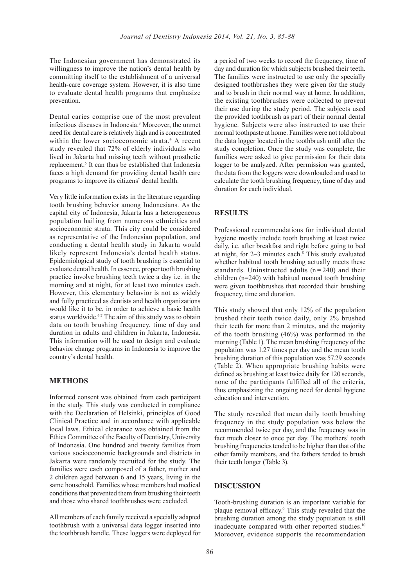The Indonesian government has demonstrated its. willingness to improve the nation's dental health by. committing itself to the establishment of a universal. health-care coverage system. However, it is also time to evaluate dental health programs that emphasize prevention..

Dental caries comprise one of the most prevalent. infectious diseases in Indonesia.<sup>3</sup> Moreover, the unmet need for dental care is relatively high and is concentrated. within the lower socioeconomic strata.<sup>4</sup> A recent. study revealed that 72% of elderly individuals who. lived in Jakarta had missing teeth without prosthetic. replacement.<sup>5</sup> It can thus be established that Indonesia faces a high demand for providing dental health care. programs to improve its citizens' dental health.

Very little information exists in the literature regarding. tooth brushing behavior among Indonesians. As the. capital city of Indonesia, Jakarta has a heterogeneous. population hailing from numerous ethnicities and. socioeconomic strata. This city could be considered as representative of the Indonesian population, and. conducting a dental health study in Jakarta would likely represent Indonesia's dental health status. Epidemiological study of tooth brushing is essential to. evaluate dental health. In essence, proper tooth brushing practice involve brushing teeth twice a day *i.e.* in the. morning and at night, for at least two minutes each. However, this elementary behavior is not as widely. and fully practiced as dentists and health organizations. would like it to be, in order to achieve a basic health. status worldwide.<sup>6,7</sup> The aim of this study was to obtain. data on tooth brushing frequency, time of day and duration in adults and children in Jakarta, Indonesia. This information will be used to design and evaluate. behavior change programs in Indonesia to improve the. country's dental health.

#### **METHODS**

Informed consent was obtained from each participant. in the study. This study was conducted in compliance with the Declaration of Helsinki, principles of Good. Clinical Practice and in accordance with applicable. local laws. Ethical clearance was obtained from the Ethics Committee of the Faculty of Dentistry, University. of Indonesia. One hundred and twenty families from various socioeconomic backgrounds and districts in Jakarta were randomly recruited for the study. The. families were each composed of a father, mother and. 2 children aged between 6 and 15 years, living in the. same.household. Families whose members had medical. conditions that prevented them from brushing their teeth. and those who shared toothbrushes were excluded.

All members of each family received a specially adapted. toothbrush with a universal data logger inserted into. the toothbrush handle. These loggers were deployed for. a period of two weeks to record the frequency, time of. day and duration for which subjects brushed their teeth. The families were instructed to use only the specially. designed toothbrushes they were given for the study. and to brush in their normal way at home. In addition, the existing toothbrushes were collected to prevent. their use during the study period. The subjects used. the provided toothbrush as part of their normal dental. hygiene. Subjects were also instructed to use their. normal toothpaste at home. Families were not told about the data logger located in the toothbrush until after the. study completion. Once the study was complete, the. families were asked to give permission for their data. logger to be analyzed. After permission was granted, the data from the loggers were downloaded and used to. calculate the tooth brushing frequency, time of day and. duration for each individual.

#### **RESULTS**

Professional recommendations for individual dental. hygiene mostly include tooth brushing at least twice. daily, i.e. after breakfast and right before going to bed. at night, for  $2-3$  minutes each. $8$  This study evaluated whether habitual tooth brushing actually meets these. standards. Uninstructed adults  $(n = 240)$  and their. children ( $n=240$ ) with habitual manual tooth brushing. were given toothbrushes that recorded their brushing. frequency, time and duration.

This study showed that only 12% of the population. brushed their teeth twice daily, only 2% brushed. their teeth for more than 2 minutes, and the majority. of the tooth brushing  $(46%)$  was performed in the. morning. (Table 1). The mean brushing frequency of the. population was 1.27 times per day and the mean tooth. brushing duration of this population was 57.29 seconds. (Table 2). When appropriate brushing habits were. defined as brushing at least twice daily for 120 seconds, none of the participants fulfilled all of the criteria, thus emphasizing the ongoing need for dental hygiene. education and intervention.

The study revealed that mean daily tooth brushing. frequency in the study population was below the. recommended twice per day, and the frequency was in. fact much closer to once per day. The mothers' tooth. brushing frequencies tended to be higher than that of the. other family members, and the fathers tended to brush. their teeth longer (Table 3).

#### **DISCUSSION**

Tooth-brushing duration is an important variable for. plaque removal efficacy.<sup>9</sup> This study revealed that the brushing duration among the study population is still. inadequate compared with other reported studies.<sup>10</sup> Moreover, evidence supports the recommendation.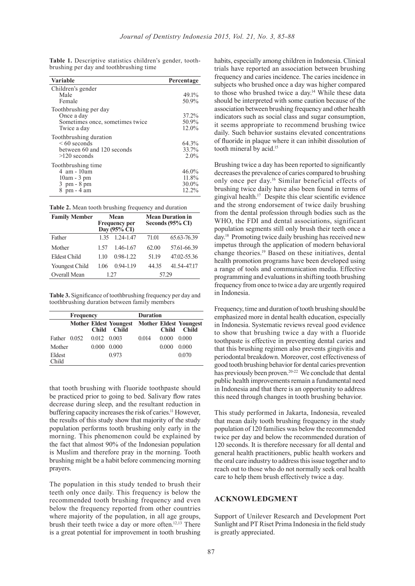| Variable                                                                                    | Percentage                          |
|---------------------------------------------------------------------------------------------|-------------------------------------|
| Children's gender                                                                           |                                     |
| Male                                                                                        | 49.1%                               |
| Female                                                                                      | 50.9%                               |
| Toothbrushing per day<br>Once a day<br>Sometimes once, sometimes twice<br>Twice a day       | 37.2%<br>50.9%<br>12.0%             |
| Toothbrushing duration<br>$\leq 60$ seconds<br>between 60 and 120 seconds<br>$>120$ seconds | 64.3%<br>33.7%<br>2.0%              |
| Toothbrushing time<br>4 am - 10am<br>$10am - 3pm$<br>$3$ pm $-8$ pm<br>8 pm - 4 am          | 46.0%<br>11.8%<br>$30.0\%$<br>12.2% |

Table 1. Descriptive statistics children's gender, toothbrushing per day and toothbrushing time.

| Table 2. Mean tooth brushing frequency and duration |  |  |  |
|-----------------------------------------------------|--|--|--|
|-----------------------------------------------------|--|--|--|

| <b>Family Member</b> | <b>Mean</b><br><b>Frequency per</b><br>Day $(95\% \tilde{C}I)$ |               | <b>Mean Duration in</b><br>Seconds (95% CI) |             |  |
|----------------------|----------------------------------------------------------------|---------------|---------------------------------------------|-------------|--|
| Father               | 135                                                            | 1.24-1.47     | 71.01                                       | 65.63-76.39 |  |
| Mother               | 1.57                                                           | 1.46-1.67     | 62.00                                       | 57.61-66.39 |  |
| <b>Eldest Child</b>  | 110                                                            | 0.98-1.22     | 51.19                                       | 47.02-55.36 |  |
| Youngest Child       | 1 06                                                           | $0.94 - 1.19$ | 44 35                                       | 41.54-47.17 |  |
| Overall Mean         | 1.27                                                           |               | 57.29                                       |             |  |

Table 3. Significance of toothbrushing frequency per day and toothbrushing duration between family members

|                 | <b>Frequency</b> |                     |                                          | <b>Duration</b> |              |                                               |
|-----------------|------------------|---------------------|------------------------------------------|-----------------|--------------|-----------------------------------------------|
|                 |                  | <b>Child</b>        | <b>Mother Eldest Youngest</b><br>- Child |                 | <b>Child</b> | <b>Mother Eldest Youngest</b><br><b>Child</b> |
| Father 0.052    |                  | $0.012 \quad 0.003$ |                                          | 0.014           | 0.000        | 0.000                                         |
| Mother          |                  | 0.000               | 0.000                                    |                 | 0.000        | 0.000                                         |
| Eldest<br>Child |                  |                     | 0.973                                    |                 |              | 0.070                                         |

that tooth brushing with fluoride toothpaste should. be practiced prior to going to bed. Salivary flow rates decrease during sleep, and the resultant reduction in. buffering capacity increases the risk of caries.<sup>11</sup> However, the results of this study show that majority of the study. population performs tooth brushing only early in the. morning. This phenomenon could be explained by. the fact that almost 90% of the Indonesian population. is Muslim and therefore pray in the morning. Tooth. brushing might be a habit before commencing morning. prayers..

The population in this study tended to brush their. teeth only once daily. This frequency is below the. recommended tooth brushing frequency and even. below the frequency reported from other countries. where majority of the population, in all age groups, brush their teeth twice a day or more often.<sup>12,13</sup> There is a great potential for improvement in tooth brushing.

habits, especially among children in Indonesia. Clinical. trials have reported an association between brushing. frequency and caries incidence. The caries incidence in. subjects who brushed once a day was higher compared. to those who brushed twice a day.<sup>14</sup> While these data should be interpreted with some caution because of the. association between brushing frequency and other health. indicators such as social class and sugar consumption, it seems appropriate to recommend brushing twice. daily. Such behavior sustains elevated concentrations. of fluoride in plaque where it can inhibit dissolution of tooth mineral by acid.<sup>15</sup>

Brushing twice a day has been reported to significantly decreases the prevalence of caries compared to brushing. only once per day.<sup>16</sup> Similar beneficial effects of. brushing twice daily have also been found in terms of. gingival health.<sup>17</sup> Despite this clear scientific evidence and the strong endorsement of twice daily brushing. from the dental profession through bodies such as the. WHO, the FDI and dental associations, significant. population segments still only brush their teeth once a. day.<sup>18</sup> Promoting twice daily brushing has received new. impetus through the application of modern behavioral. change theories.<sup>19</sup> Based on these initiatives, dental. health promotion programs have been developed using. a range of tools and communication media. Effective programming and evaluations in shifting tooth brushing. frequency from once to twice a day are urgently required. in Indonesia.

Frequency, time and duration of tooth brushing should be. emphasized more in dental health education, especially. in Indonesia. Systematic reviews reveal good evidence. to show that brushing twice a day with a fluoride. toothpaste is effective in preventing dental caries and. that this brushing regimen also prevents gingivitis and. periodontal breakdown. Moreover, cost effectiveness of. good tooth brushing behavior for dental caries prevention. has previously been proven.<sup>20-22</sup> We conclude that dental. public.health.improvements.remain.a.fundamental.need. in Indonesia and that there is an opportunity to address. this need through changes in tooth brushing behavior.

This study performed in Jakarta, Indonesia, revealed that mean daily tooth brushing frequency in the study. population of 120 families was below the recommended. twice per day and below the recommended duration of. 120 seconds. It is therefore necessary for all dental and general health practitioners, public health workers and. the oral care industry to address this issue together and to. reach out to those who do not normally seek oral health. care to help them brush effectively twice a day.

### **ACKNOWLEDGMENT**

Support of Unilever Research and Development Port. Sunlight and PT Riset Prima Indonesia in the field study is greatly appreciated.